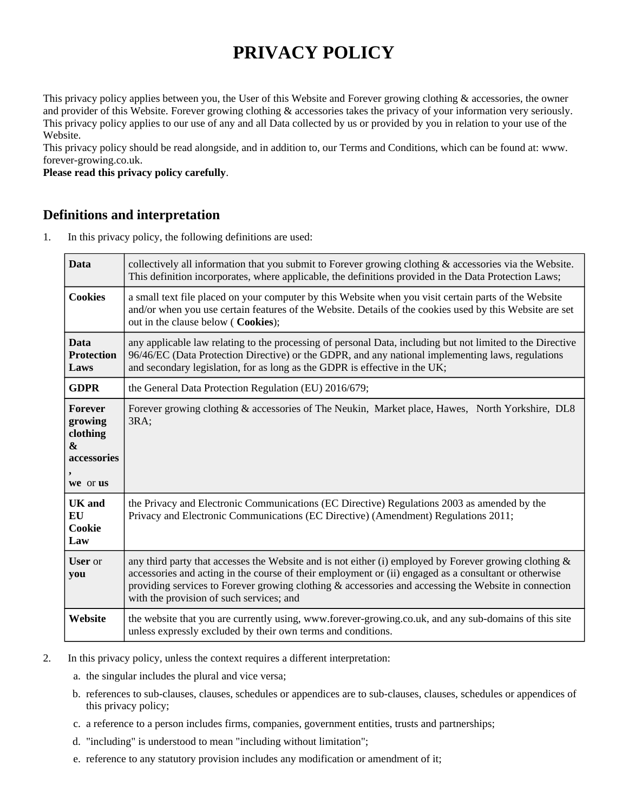# **PRIVACY POLICY**

This privacy policy applies between you, the User of this Website and Forever growing clothing & accessories, the owner and provider of this Website. Forever growing clothing & accessories takes the privacy of your information very seriously. This privacy policy applies to our use of any and all Data collected by us or provided by you in relation to your use of the Website.

This privacy policy should be read alongside, and in addition to, our Terms and Conditions, which can be found at: www. forever-growing.co.uk.

**Please read this privacy policy carefully**.

# **Definitions and interpretation**

1. In this privacy policy, the following definitions are used:

| <b>Data</b>                                                               | collectively all information that you submit to Forever growing clothing & accessories via the Website.<br>This definition incorporates, where applicable, the definitions provided in the Data Protection Laws;                                                                                                                                                    |
|---------------------------------------------------------------------------|---------------------------------------------------------------------------------------------------------------------------------------------------------------------------------------------------------------------------------------------------------------------------------------------------------------------------------------------------------------------|
| <b>Cookies</b>                                                            | a small text file placed on your computer by this Website when you visit certain parts of the Website<br>and/or when you use certain features of the Website. Details of the cookies used by this Website are set<br>out in the clause below ( Cookies);                                                                                                            |
| <b>Data</b><br><b>Protection</b><br>Laws                                  | any applicable law relating to the processing of personal Data, including but not limited to the Directive<br>96/46/EC (Data Protection Directive) or the GDPR, and any national implementing laws, regulations<br>and secondary legislation, for as long as the GDPR is effective in the UK;                                                                       |
| <b>GDPR</b>                                                               | the General Data Protection Regulation (EU) 2016/679;                                                                                                                                                                                                                                                                                                               |
| Forever<br>growing<br>clothing<br>$\mathbf{g}$<br>accessories<br>we or us | Forever growing clothing & accessories of The Neukin, Market place, Hawes, North Yorkshire, DL8<br>3RA;                                                                                                                                                                                                                                                             |
| <b>UK</b> and<br>EU<br>Cookie<br>Law                                      | the Privacy and Electronic Communications (EC Directive) Regulations 2003 as amended by the<br>Privacy and Electronic Communications (EC Directive) (Amendment) Regulations 2011;                                                                                                                                                                                   |
| <b>User</b> or<br>you                                                     | any third party that accesses the Website and is not either (i) employed by Forever growing clothing &<br>accessories and acting in the course of their employment or (ii) engaged as a consultant or otherwise<br>providing services to Forever growing clothing & accessories and accessing the Website in connection<br>with the provision of such services; and |
| Website                                                                   | the website that you are currently using, www.forever-growing.co.uk, and any sub-domains of this site<br>unless expressly excluded by their own terms and conditions.                                                                                                                                                                                               |

- 2. In this privacy policy, unless the context requires a different interpretation:
	- a. the singular includes the plural and vice versa;
	- b. references to sub-clauses, clauses, schedules or appendices are to sub-clauses, clauses, schedules or appendices of this privacy policy;
	- c. a reference to a person includes firms, companies, government entities, trusts and partnerships;
	- d. "including" is understood to mean "including without limitation";
	- e. reference to any statutory provision includes any modification or amendment of it;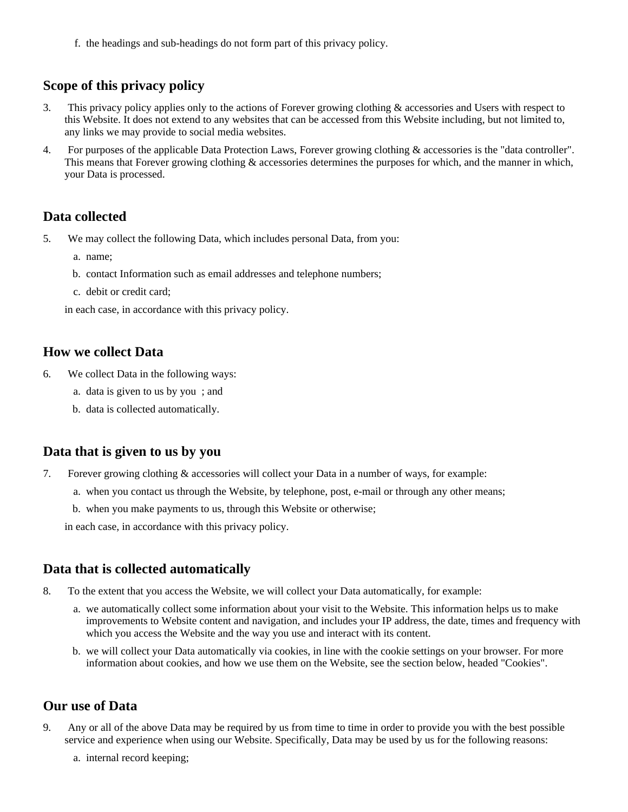f. the headings and sub-headings do not form part of this privacy policy.

# **Scope of this privacy policy**

- 3. This privacy policy applies only to the actions of Forever growing clothing & accessories and Users with respect to this Website. It does not extend to any websites that can be accessed from this Website including, but not limited to, any links we may provide to social media websites.
- 4. For purposes of the applicable Data Protection Laws, Forever growing clothing & accessories is the "data controller". This means that Forever growing clothing & accessories determines the purposes for which, and the manner in which, your Data is processed.

#### **Data collected**

- 5. We may collect the following Data, which includes personal Data, from you:
	- a. name;
	- b. contact Information such as email addresses and telephone numbers;
	- c. debit or credit card;

in each case, in accordance with this privacy policy.

#### **How we collect Data**

- 6. We collect Data in the following ways:
	- a. data is given to us by you ; and
	- b. data is collected automatically.

#### **Data that is given to us by you**

- 7. Forever growing clothing & accessories will collect your Data in a number of ways, for example:
	- a. when you contact us through the Website, by telephone, post, e-mail or through any other means;
	- b. when you make payments to us, through this Website or otherwise;

in each case, in accordance with this privacy policy.

#### **Data that is collected automatically**

- 8. To the extent that you access the Website, we will collect your Data automatically, for example:
	- a. we automatically collect some information about your visit to the Website. This information helps us to make improvements to Website content and navigation, and includes your IP address, the date, times and frequency with which you access the Website and the way you use and interact with its content.
	- b. we will collect your Data automatically via cookies, in line with the cookie settings on your browser. For more information about cookies, and how we use them on the Website, see the section below, headed "Cookies".

# **Our use of Data**

- 9. Any or all of the above Data may be required by us from time to time in order to provide you with the best possible service and experience when using our Website. Specifically, Data may be used by us for the following reasons:
	- a. internal record keeping;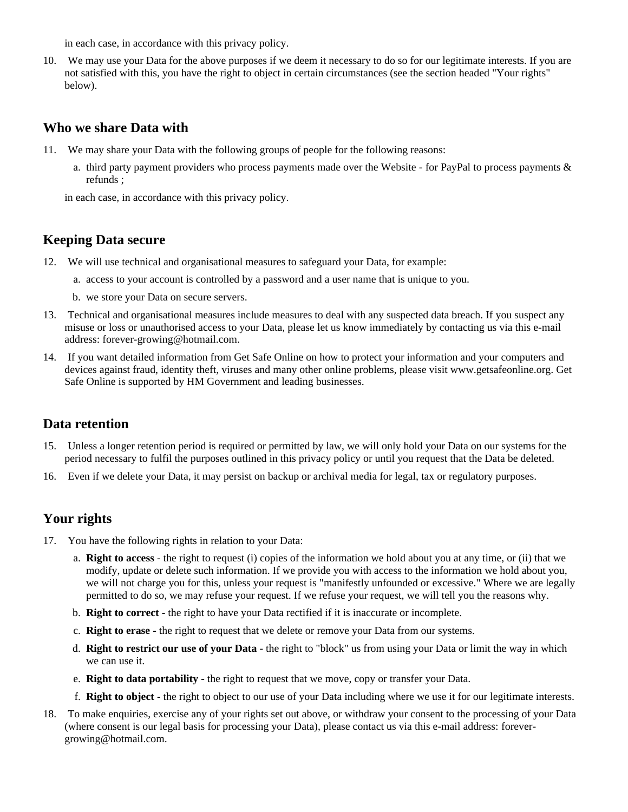in each case, in accordance with this privacy policy.

10. We may use your Data for the above purposes if we deem it necessary to do so for our legitimate interests. If you are not satisfied with this, you have the right to object in certain circumstances (see the section headed "Your rights" below).

### **Who we share Data with**

- 11. We may share your Data with the following groups of people for the following reasons:
	- a. third party payment providers who process payments made over the Website for PayPal to process payments & refunds ;

in each case, in accordance with this privacy policy.

# **Keeping Data secure**

- 12. We will use technical and organisational measures to safeguard your Data, for example:
	- a. access to your account is controlled by a password and a user name that is unique to you.
	- b. we store your Data on secure servers.
- 13. Technical and organisational measures include measures to deal with any suspected data breach. If you suspect any misuse or loss or unauthorised access to your Data, please let us know immediately by contacting us via this e-mail address: forever-growing@hotmail.com.
- 14. If you want detailed information from Get Safe Online on how to protect your information and your computers and devices against fraud, identity theft, viruses and many other online problems, please visit www.getsafeonline.org. Get Safe Online is supported by HM Government and leading businesses.

#### **Data retention**

- 15. Unless a longer retention period is required or permitted by law, we will only hold your Data on our systems for the period necessary to fulfil the purposes outlined in this privacy policy or until you request that the Data be deleted.
- 16. Even if we delete your Data, it may persist on backup or archival media for legal, tax or regulatory purposes.

# **Your rights**

- 17. You have the following rights in relation to your Data:
	- a. **Right to access** the right to request (i) copies of the information we hold about you at any time, or (ii) that we modify, update or delete such information. If we provide you with access to the information we hold about you, we will not charge you for this, unless your request is "manifestly unfounded or excessive." Where we are legally permitted to do so, we may refuse your request. If we refuse your request, we will tell you the reasons why.
	- b. **Right to correct** the right to have your Data rectified if it is inaccurate or incomplete.
	- c. **Right to erase** the right to request that we delete or remove your Data from our systems.
	- d. **Right to restrict our use of your Data** the right to "block" us from using your Data or limit the way in which we can use it.
	- e. **Right to data portability** the right to request that we move, copy or transfer your Data.
	- f. **Right to object** the right to object to our use of your Data including where we use it for our legitimate interests.
- 18. To make enquiries, exercise any of your rights set out above, or withdraw your consent to the processing of your Data (where consent is our legal basis for processing your Data), please contact us via this e-mail address: forevergrowing@hotmail.com.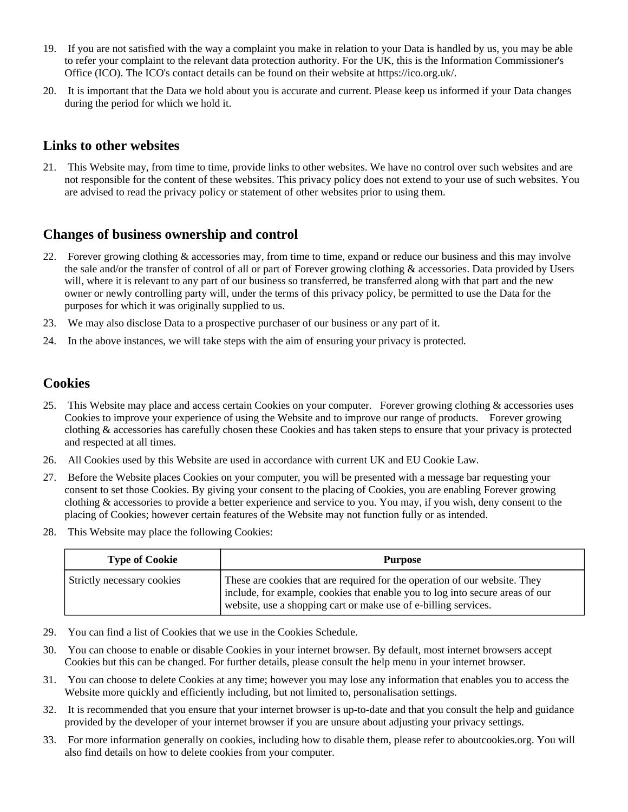- 19. If you are not satisfied with the way a complaint you make in relation to your Data is handled by us, you may be able to refer your complaint to the relevant data protection authority. For the UK, this is the Information Commissioner's Office (ICO). The ICO's contact details can be found on their website at https://ico.org.uk/.
- 20. It is important that the Data we hold about you is accurate and current. Please keep us informed if your Data changes during the period for which we hold it.

# **Links to other websites**

21. This Website may, from time to time, provide links to other websites. We have no control over such websites and are not responsible for the content of these websites. This privacy policy does not extend to your use of such websites. You are advised to read the privacy policy or statement of other websites prior to using them.

# **Changes of business ownership and control**

- 22. Forever growing clothing & accessories may, from time to time, expand or reduce our business and this may involve the sale and/or the transfer of control of all or part of Forever growing clothing & accessories. Data provided by Users will, where it is relevant to any part of our business so transferred, be transferred along with that part and the new owner or newly controlling party will, under the terms of this privacy policy, be permitted to use the Data for the purposes for which it was originally supplied to us.
- 23. We may also disclose Data to a prospective purchaser of our business or any part of it.
- 24. In the above instances, we will take steps with the aim of ensuring your privacy is protected.

#### **Cookies**

- 25. This Website may place and access certain Cookies on your computer. Forever growing clothing & accessories uses Cookies to improve your experience of using the Website and to improve our range of products. Forever growing clothing & accessories has carefully chosen these Cookies and has taken steps to ensure that your privacy is protected and respected at all times.
- 26. All Cookies used by this Website are used in accordance with current UK and EU Cookie Law.
- 27. Before the Website places Cookies on your computer, you will be presented with a message bar requesting your consent to set those Cookies. By giving your consent to the placing of Cookies, you are enabling Forever growing clothing & accessories to provide a better experience and service to you. You may, if you wish, deny consent to the placing of Cookies; however certain features of the Website may not function fully or as intended.
- 28. This Website may place the following Cookies:

| <b>Type of Cookie</b>      | <b>Purpose</b>                                                                                                                                                                                                                 |
|----------------------------|--------------------------------------------------------------------------------------------------------------------------------------------------------------------------------------------------------------------------------|
| Strictly necessary cookies | These are cookies that are required for the operation of our website. They<br>include, for example, cookies that enable you to log into secure areas of our<br>website, use a shopping cart or make use of e-billing services. |

- 29. You can find a list of Cookies that we use in the Cookies Schedule.
- 30. You can choose to enable or disable Cookies in your internet browser. By default, most internet browsers accept Cookies but this can be changed. For further details, please consult the help menu in your internet browser.
- 31. You can choose to delete Cookies at any time; however you may lose any information that enables you to access the Website more quickly and efficiently including, but not limited to, personalisation settings.
- 32. It is recommended that you ensure that your internet browser is up-to-date and that you consult the help and guidance provided by the developer of your internet browser if you are unsure about adjusting your privacy settings.
- 33. For more information generally on cookies, including how to disable them, please refer to aboutcookies.org. You will also find details on how to delete cookies from your computer.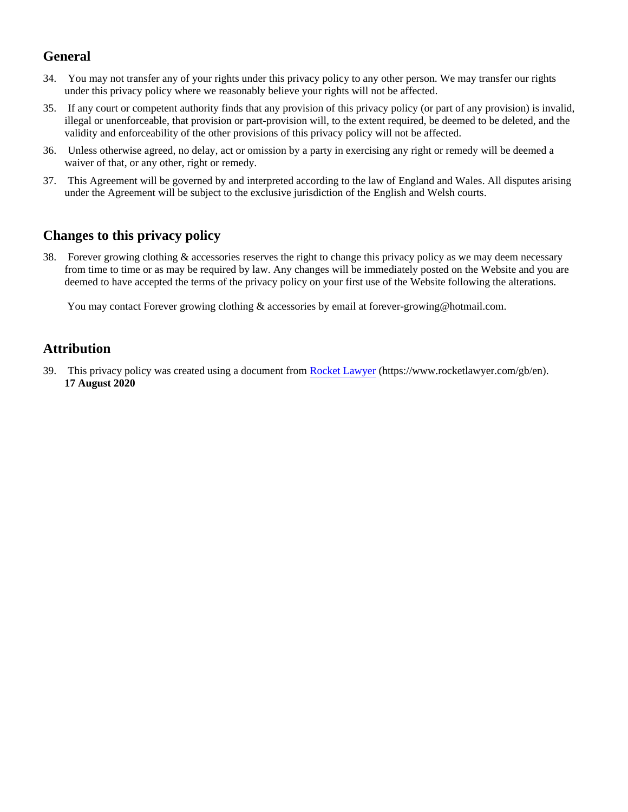# **General**

- 34. You may not transfer any of your rights under this privacy policy to any other person. We may transfer our rights under this privacy policy where we reasonably believe your rights will not be affected.
- 35. If any court or competent authority finds that any provision of this privacy policy (or part of any provision) is invalid, illegal or unenforceable, that provision or part-provision will, to the extent required, be deemed to be deleted, and the validity and enforceability of the other provisions of this privacy policy will not be affected.
- 36. Unless otherwise agreed, no delay, act or omission by a party in exercising any right or remedy will be deemed a waiver of that, or any other, right or remedy.
- 37. This Agreement will be governed by and interpreted according to the law of England and Wales. All disputes arising under the Agreement will be subject to the exclusive jurisdiction of the English and Welsh courts.

# **Changes to this privacy policy**

38. Forever growing clothing & accessories reserves the right to change this privacy policy as we may deem necessary from time to time or as may be required by law. Any changes will be immediately posted on the Website and you are deemed to have accepted the terms of the privacy policy on your first use of the Website following the alterations.

You may contact Forever growing clothing & accessories by email at forever-growing@hotmail.com.

# **Attribution**

39. This privacy policy was created using a document from [Rocket Lawyer](https://www.rocketlawyer.com/gb/en/) (https://www.rocketlawyer.com/gb/en). **17 August 2020**